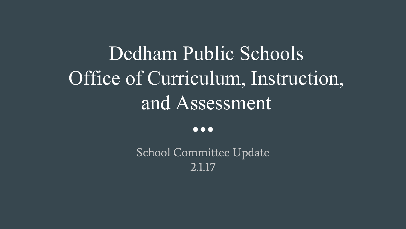# Dedham Public Schools Office of Curriculum, Instruction, and Assessment

 $\bullet\bullet\bullet$ 

School Committee Update 2.1.17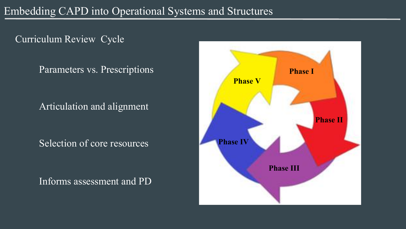Curriculum Review Cycle

Parameters vs. Prescriptions

Articulation and alignment

Selection of core resources

Informs assessment and PD

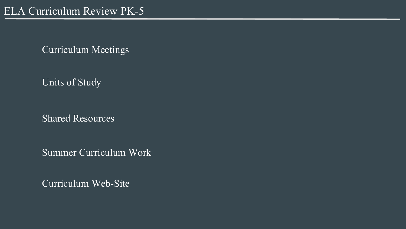Curriculum Meetings

Units of Study

Shared Resources

Summer Curriculum Work

Curriculum Web-Site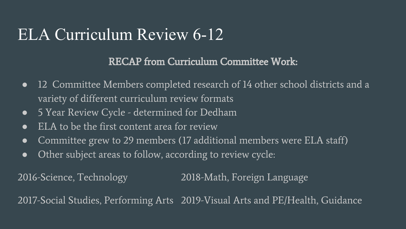### ELA Curriculum Review 6-12

#### RECAP from Curriculum Committee Work:

- 12 Committee Members completed research of 14 other school districts and a variety of different curriculum review formats
- 5 Year Review Cycle determined for Dedham
- ELA to be the first content area for review
- Committee grew to 29 members (17 additional members were ELA staff)
- Other subject areas to follow, according to review cycle:

2016-Science, Technology 2018-Math, Foreign Language

2017-Social Studies, Performing Arts 2019-Visual Arts and PE/Health, Guidance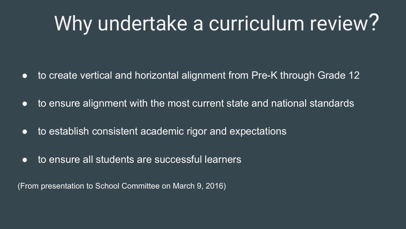# Why undertake a curriculum review?

- to create vertical and horizontal alignment from Pre-K through Grade 12
- to ensure alignment with the most current state and national standards
- to establish consistent academic rigor and expectations
- to ensure all students are successful learners

(From presentation to School Committee on March 9, 2016)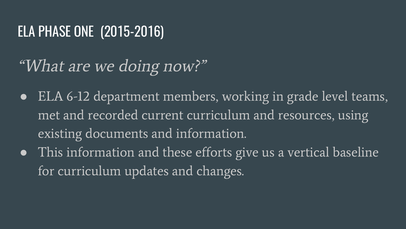#### ELA PHASE ONE (2015-2016)

## "What are we doing now?"

- ELA 6-12 department members, working in grade level teams, met and recorded current curriculum and resources, using existing documents and information.
- This information and these efforts give us a vertical baseline for curriculum updates and changes.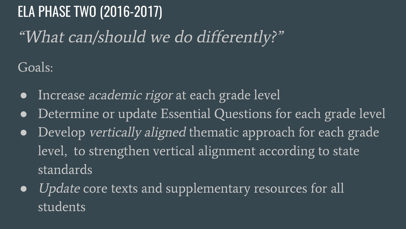ELA PHASE TWO (2016-2017) "What can/should we do differently?"

Goals:

- Increase academic rigor at each grade level
- Determine or update Essential Questions for each grade level
- Develop vertically aligned thematic approach for each grade level, to strengthen vertical alignment according to state standards
- Update core texts and supplementary resources for all students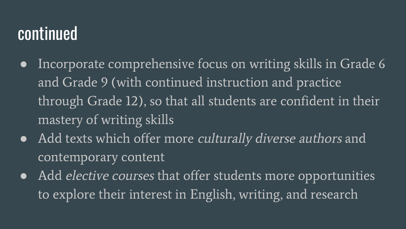### continued

- Incorporate comprehensive focus on writing skills in Grade 6 and Grade 9 (with continued instruction and practice through Grade 12), so that all students are confident in their mastery of writing skills
- Add texts which offer more culturally diverse authors and contemporary content
- Add *elective courses* that offer students more opportunities to explore their interest in English, writing, and research